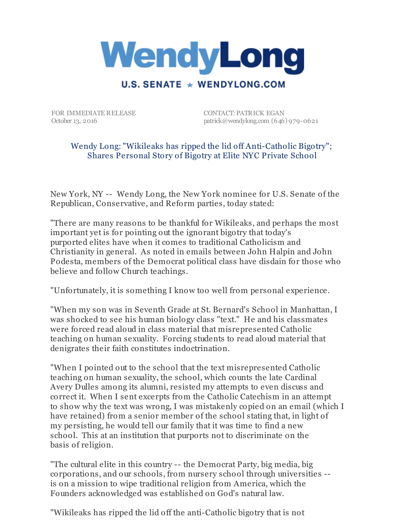

FOR IMMEDIATE RELEASE October 13, 2016

CONTACT: PATRICK EGAN patrick@wendylong.com (646) 979-0621

## Wendy Long: "Wikileaks has ripped the lid off Anti-Catholic Bigotry"; Shares Personal Story of Bigotry at Elite NYC Private School

New York, NY -- Wendy Long, the New York nominee for U.S. Senate of the Republican, Conservative, and Reform parties, today stated:

"There are many reasons to be thankful for Wikileaks, and perhaps the most important yet is for pointing out the ignorant bigotry that today's purported elites have when it comes to traditional Catholicism and Christianity in general. As noted in emails between John Halpin and John Podesta, members of the Democrat political class have disdain for those who believe and follow Church teachings.

"Unfortunately, it is something I know too well from personal experience.

"When my son was in Seventh Grade at St. Bernard's School in Manhattan, I was shocked to see his human biology class "text." He and his classmates were forced read aloud in class material that misrepresented Catholic teaching on human sexuality. Forcing students to read aloud material that denigrates their faith constitutes indoctrination.

"When I pointed out to the school that the text misrepresented Catholic teaching on human sexuality, the school, which counts the late Cardinal Avery Dulles among its alumni, resisted my attempts to even discuss and correct it. When I sent excerpts from the Catholic Catechism in an attempt to show why the text was wrong, I was mistakenly copied on an email (which I have retained) from a senior member of the school stating that, in light of my persisting, he would tell our family that it was time to find a new school. This at an institution that purports not to discriminate on the basis of religion.

"The cultural elite in this country -- the Democrat Party, big media, big corporations, and our schools, from nursery school through universities - is on a mission to wipe traditional religion from America, which the Founders acknowledged was established on God's natural law.

"Wikileaks has ripped the lid off the anti-Catholic bigotry that is not